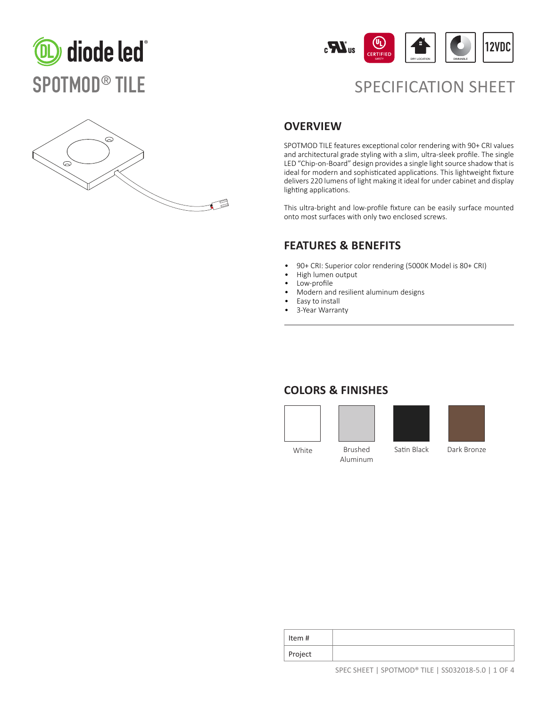



# SPOTMOD<sup>®</sup> TILE SPECIFICATION SHEET



### **OVERVIEW**

SPOTMOD TILE features exceptional color rendering with 90+ CRI values and architectural grade styling with a slim, ultra-sleek profile. The single LED "Chip-on-Board" design provides a single light source shadow that is ideal for modern and sophisticated applications. This lightweight fixture delivers 220 lumens of light making it ideal for under cabinet and display lighting applications.

This ultra-bright and low-profile fixture can be easily surface mounted onto most surfaces with only two enclosed screws.

#### **FEATURES & BENEFITS**

- 90+ CRI: Superior color rendering (5000K Model is 80+ CRI)
- High lumen output
- Low-profile
- Modern and resilient aluminum designs
- Easy to install
- 3-Year Warranty

### **COLORS & FINISHES**







White Brushed Aluminum

Satin Black Dark Bronze

| Item #  |  |
|---------|--|
| Project |  |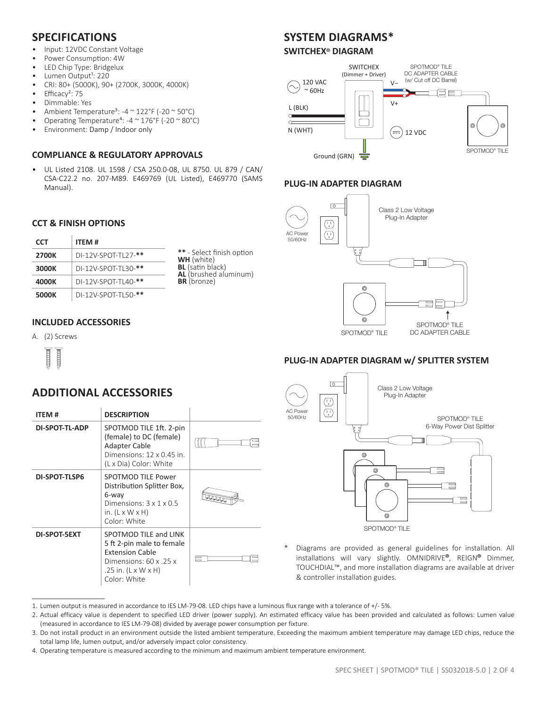### **SPECIFICATIONS**

- Input: 12VDC Constant Voltage
- Power Consumption: 4W
- LED Chip Type: Bridgelux

**CCT & FINISH OPTIONS**

**2700K** DI-12V-SPOT-TL27-**\*\* 3000K** DI-12V-SPOT-TL30-**\*\* 4000K** DI-12V-SPOT-TL40-**\*\* 5000K** DI-12V-SPOT-TL50-**\*\***

**INCLUDED ACCESSORIES**

A. (2) Screws

 $\frac{1}{2}$ HHHH

**CCT ITEM #**

- Lumen Output<sup>1</sup>: 220
- CRI: 80+ (5000K), 90+ (2700K, 3000K, 4000K)
- Efficacy<sup>2</sup>: 75
- Dimmable: Yes
- Ambient Temperature<sup>3</sup>: -4  $\sim$  122°F (-20  $\sim$  50°C)
- Operating Temperature<sup>4</sup>: -4  $\sim$  176°F (-20  $\sim$  80°C)
- Environment: Damp / Indoor only

### **COMPLIANCE & REGULATORY APPROVALS**

• UL Listed 2108. UL 1598 / CSA 250.0-08, UL 8750. UL 879 / CAN/ CSA-C22.2 no. 207-M89. E469769 (UL Listed), E469770 (SAMS Manual).

## **SYSTEM DIAGRAMS\***

#### **SWITCHEX® DIAGRAM**



#### **PLUG-IN ADAPTER DIAGRAM**



#### **PLUG-IN ADAPTER DIAGRAM w/ SPLITTER SYSTEM**



| ITEM #         | <b>DESCRIPTION</b>                                                                                                                                                     |  |
|----------------|------------------------------------------------------------------------------------------------------------------------------------------------------------------------|--|
| DI-SPOT-TL-ADP | SPOTMOD TILE 1ft. 2-pin<br>(female) to DC (female)<br><b>Adapter Cable</b><br>Dimensions: 12 x 0.45 in.<br>(L x Dia) Color: White                                      |  |
| DI-SPOT-TLSP6  | SPOTMOD TILE Power<br>Distribution Splitter Box,<br>6-way<br>Dimensions: $3 \times 1 \times 0.5$<br>in. $(L \times W \times H)$<br>Color: White                        |  |
| DI-SPOT-5EXT   | SPOTMOD TILE and LINK<br>5 ft 2-pin male to female<br><b>Extension Cable</b><br>Dimensions: $60 \times 0.25 \times$<br>.25 in. $(L \times W \times H)$<br>Color: White |  |



Diagrams are provided as general guidelines for installation. All installations will vary slightly. OMNIDRIVE**®**, REIGN**®** Dimmer, TOUCHDIAL™, and more installation diagrams are available at driver & controller installation guides.

**\*\*** - Select finish option

**WH** (white) **BL** (satin black) **AL** (brushed aluminum)

**BR** (bronze)

 $\overline{\phantom{a}}$ 

<sup>1.</sup> Lumen output is measured in accordance to IES LM-79-08. LED chips have a luminous flux range with a tolerance of +/- 5%.

<sup>2.</sup> Actual efficacy value is dependent to specified LED driver (power supply). An estimated efficacy value has been provided and calculated as follows: Lumen value (measured in accordance to IES LM-79-08) divided by average power consumption per fixture.

<sup>3.</sup> Do not install product in an environment outside the listed ambient temperature. Exceeding the maximum ambient temperature may damage LED chips, reduce the total lamp life, lumen output, and/or adversely impact color consistency.

<sup>4.</sup> Operating temperature is measured according to the minimum and maximum ambient temperature environment.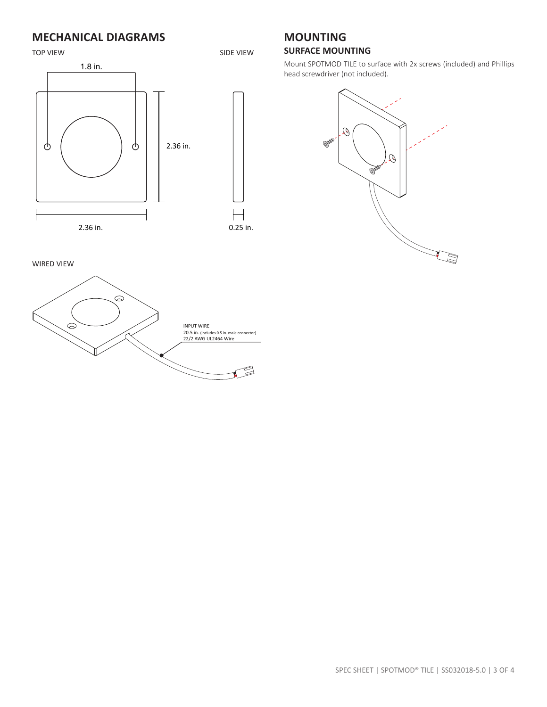### **MECHANICAL DIAGRAMS**



#### **MOUNTING SURFACE MOUNTING**

Mount SPOTMOD TILE to surface with 2x screws (included) and Phillips head screwdriver (not included).



WIRED VIEW